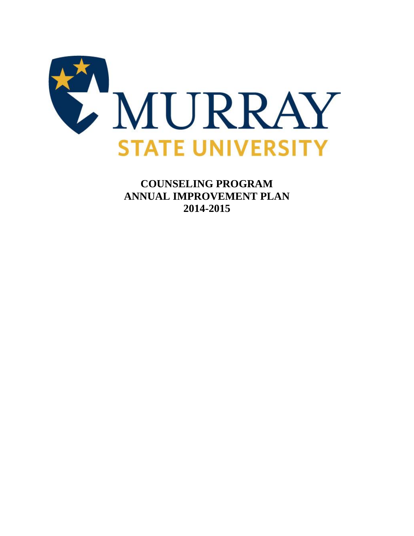

**COUNSELING PROGRAM ANNUAL IMPROVEMENT PLAN 2014-2015**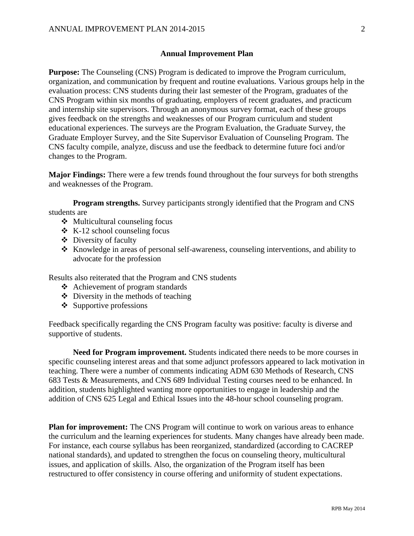## **Annual Improvement Plan**

**Purpose:** The Counseling (CNS) Program is dedicated to improve the Program curriculum, organization, and communication by frequent and routine evaluations. Various groups help in the evaluation process: CNS students during their last semester of the Program, graduates of the CNS Program within six months of graduating, employers of recent graduates, and practicum and internship site supervisors. Through an anonymous survey format, each of these groups gives feedback on the strengths and weaknesses of our Program curriculum and student educational experiences. The surveys are the Program Evaluation, the Graduate Survey, the Graduate Employer Survey, and the Site Supervisor Evaluation of Counseling Program. The CNS faculty compile, analyze, discuss and use the feedback to determine future foci and/or changes to the Program.

**Major Findings:** There were a few trends found throughout the four surveys for both strengths and weaknesses of the Program.

**Program strengths.** Survey participants strongly identified that the Program and CNS students are

- Multicultural counseling focus
- $\div$  K-12 school counseling focus
- Diversity of faculty
- $\triangle$  Knowledge in areas of personal self-awareness, counseling interventions, and ability to advocate for the profession

Results also reiterated that the Program and CNS students

- Achievement of program standards
- $\triangle$  Diversity in the methods of teaching
- $\div$  Supportive professions

Feedback specifically regarding the CNS Program faculty was positive: faculty is diverse and supportive of students.

**Need for Program improvement.** Students indicated there needs to be more courses in specific counseling interest areas and that some adjunct professors appeared to lack motivation in teaching. There were a number of comments indicating ADM 630 Methods of Research, CNS 683 Tests & Measurements, and CNS 689 Individual Testing courses need to be enhanced. In addition, students highlighted wanting more opportunities to engage in leadership and the addition of CNS 625 Legal and Ethical Issues into the 48-hour school counseling program.

**Plan for improvement:** The CNS Program will continue to work on various areas to enhance the curriculum and the learning experiences for students. Many changes have already been made. For instance, each course syllabus has been reorganized, standardized (according to CACREP national standards), and updated to strengthen the focus on counseling theory, multicultural issues, and application of skills. Also, the organization of the Program itself has been restructured to offer consistency in course offering and uniformity of student expectations.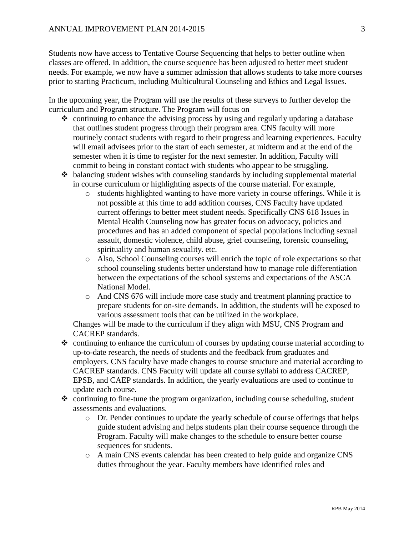Students now have access to Tentative Course Sequencing that helps to better outline when classes are offered. In addition, the course sequence has been adjusted to better meet student needs. For example, we now have a summer admission that allows students to take more courses prior to starting Practicum, including Multicultural Counseling and Ethics and Legal Issues.

In the upcoming year, the Program will use the results of these surveys to further develop the curriculum and Program structure. The Program will focus on

- $\triangle$  continuing to enhance the advising process by using and regularly updating a database that outlines student progress through their program area. CNS faculty will more routinely contact students with regard to their progress and learning experiences. Faculty will email advisees prior to the start of each semester, at midterm and at the end of the semester when it is time to register for the next semester. In addition, Faculty will commit to being in constant contact with students who appear to be struggling.
- $\triangle$  balancing student wishes with counseling standards by including supplemental material in course curriculum or highlighting aspects of the course material. For example,
	- o students highlighted wanting to have more variety in course offerings. While it is not possible at this time to add addition courses, CNS Faculty have updated current offerings to better meet student needs. Specifically CNS 618 Issues in Mental Health Counseling now has greater focus on advocacy, policies and procedures and has an added component of special populations including sexual assault, domestic violence, child abuse, grief counseling, forensic counseling, spirituality and human sexuality. etc.
	- o Also, School Counseling courses will enrich the topic of role expectations so that school counseling students better understand how to manage role differentiation between the expectations of the school systems and expectations of the ASCA National Model.
	- o And CNS 676 will include more case study and treatment planning practice to prepare students for on-site demands. In addition, the students will be exposed to various assessment tools that can be utilized in the workplace.

Changes will be made to the curriculum if they align with MSU, CNS Program and CACREP standards.

- $\triangle$  continuing to enhance the curriculum of courses by updating course material according to up-to-date research, the needs of students and the feedback from graduates and employers. CNS faculty have made changes to course structure and material according to CACREP standards. CNS Faculty will update all course syllabi to address CACREP, EPSB, and CAEP standards. In addition, the yearly evaluations are used to continue to update each course.
- $\triangle$  continuing to fine-tune the program organization, including course scheduling, student assessments and evaluations.
	- o Dr. Pender continues to update the yearly schedule of course offerings that helps guide student advising and helps students plan their course sequence through the Program. Faculty will make changes to the schedule to ensure better course sequences for students.
	- o A main CNS events calendar has been created to help guide and organize CNS duties throughout the year. Faculty members have identified roles and